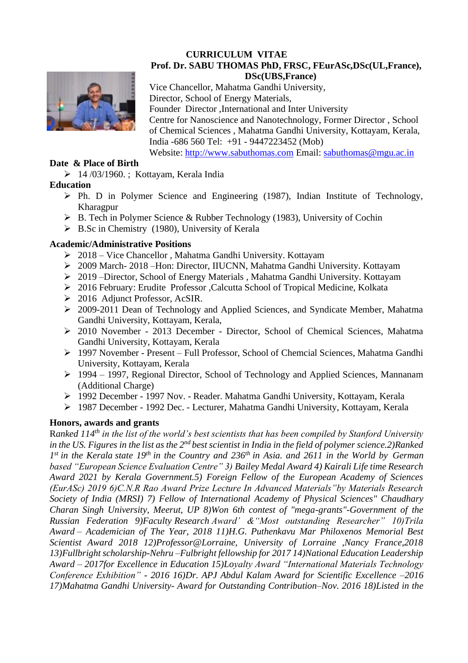#### **CURRICULUM VITAE Prof. Dr. SABU THOMAS PhD, FRSC, FEurASc,DSc(UL,France), DSc(UBS,France)**



Vice Chancellor, Mahatma Gandhi University, Director, School of Energy Materials, Founder Director ,International and Inter University Centre for Nanoscience and Nanotechnology, Former Director , School of Chemical Sciences , Mahatma Gandhi University, Kottayam, Kerala, India -686 560 Tel: +91 - 9447223452 (Mob) Website: [http://www.sabuthomas.com](http://www.sabuthomas.com/) Email: [sabuthomas@mgu.ac.in](mailto:sabuthomas@mgu.ac.in)

### **Date & Place of Birth**

➢ 14 /03/1960. ; Kottayam, Kerala India

# **Education**

- $\triangleright$  Ph. D in Polymer Science and Engineering (1987), Indian Institute of Technology, Kharagpur
- ➢ B. Tech in Polymer Science & Rubber Technology (1983), University of Cochin
- $\triangleright$  B.Sc in Chemistry (1980), University of Kerala

## **Academic/Administrative Positions**

- ➢ 2018 Vice Chancellor , Mahatma Gandhi University. Kottayam
- ➢ 2009 March- 2018 –Hon: Director, IIUCNN, Mahatma Gandhi University. Kottayam
- ➢ 2019 –Director, School of Energy Materials , Mahatma Gandhi University. Kottayam
- ➢ 2016 February: Erudite Professor ,Calcutta School of Tropical Medicine, Kolkata
- ➢ 2016 Adjunct Professor, AcSIR.
- ➢ 2009-2011 Dean of Technology and Applied Sciences, and Syndicate Member, Mahatma Gandhi University, Kottayam, Kerala,
- ➢ 2010 November 2013 December Director, School of Chemical Sciences, Mahatma Gandhi University, Kottayam, Kerala
- ➢ 1997 November Present Full Professor, School of Chemcial Sciences, Mahatma Gandhi University, Kottayam, Kerala
- ➢ 1994 1997, Regional Director, School of Technology and Applied Sciences, Mannanam (Additional Charge)
- ➢ 1992 December 1997 Nov. Reader. Mahatma Gandhi University, Kottayam, Kerala
- ➢ 1987 December 1992 Dec. Lecturer, Mahatma Gandhi University, Kottayam, Kerala

# **Honors, awards and grants**

R*anked 114th in the list of the world's best scientists that has been compiled by Stanford University in the US. Figures in the list as the 2nd best scientist in India in the field of polymer science.2)Ranked 1 st in the Kerala state 19th in the Country and 236th in Asia. and 2611 in the World by German based "European Science Evaluation Centre" 3) Bailey Medal Award 4) Kairali Life time Research Award 2021 by Kerala Government.5) Foreign Fellow of the European Academy of Sciences (EurASc) 2019 6)C.N.R Rao Award Prize Lecture In Advanced Materials"by Materials Research Society of India (MRSI) 7) Fellow of International Academy of Physical Sciences" Chaudhary Charan Singh University, Meerut, UP 8)Won 6th contest of "mega-grants"-Government of the Russian Federation 9)Faculty Research Award' &"Most outstanding Researcher" 10)Trila Award – Academician of The Year, 2018 11)H.G. Puthenkavu Mar Philoxenos Memorial Best Scientist Award 2018 12)Professor@Lorraine, University of Lorraine ,Nancy France,2018 13)Fullbright scholarship-Nehru –Fulbright fellowship for 2017 14)National Education Leadership Award – 2017for Excellence in Education 15)Loyalty Award "International Materials Technology Conference Exhibition" - 2016 16)Dr. APJ Abdul Kalam Award for Scientific Excellence –2016 17)Mahatma Gandhi University- Award for Outstanding Contribution–Nov. 2016 18)Listed in the*